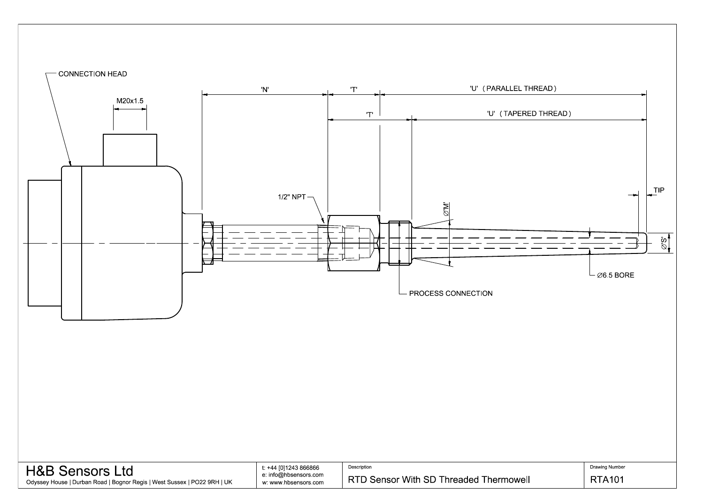

| <b>H&amp;B Sensors Ltd</b>                                               | t: +44 [0]1243 866866 | Description                            |
|--------------------------------------------------------------------------|-----------------------|----------------------------------------|
|                                                                          | e: info@hbsensors.com |                                        |
| Odyssey House   Durban Road   Bognor Regis   West Sussex   PO22 9RH   UK | w: www.hbsensors.com  | RTD Sensor With SD Threaded Thermowell |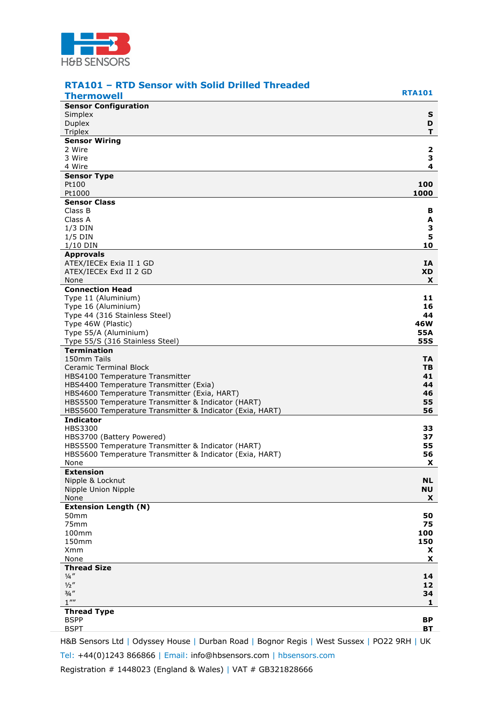

| <b>RTA101 - RTD Sensor with Solid Drilled Threaded</b>                    |                           |
|---------------------------------------------------------------------------|---------------------------|
| <b>Thermowell</b>                                                         | <b>RTA101</b>             |
| <b>Sensor Configuration</b>                                               |                           |
| Simplex                                                                   | S                         |
| <b>Duplex</b>                                                             | D                         |
| <b>Triplex</b><br><b>Sensor Wiring</b>                                    | т                         |
| 2 Wire                                                                    | $\overline{\mathbf{2}}$   |
| 3 Wire                                                                    | 3                         |
| 4 Wire                                                                    | 4                         |
| <b>Sensor Type</b>                                                        |                           |
| Pt100                                                                     | 100                       |
| Pt1000                                                                    | 1000                      |
| <b>Sensor Class</b>                                                       |                           |
| Class B<br>Class A                                                        | в<br>A                    |
| $1/3$ DIN                                                                 | 3                         |
| $1/5$ DIN                                                                 | 5                         |
| $1/10$ DIN                                                                | 10                        |
| <b>Approvals</b>                                                          |                           |
| ATEX/IECEx Exia II 1 GD                                                   | IA                        |
| ATEX/IECEx Exd II 2 GD                                                    | <b>XD</b>                 |
| None<br><b>Connection Head</b>                                            | $\boldsymbol{\mathsf{x}}$ |
| Type 11 (Aluminium)                                                       | 11                        |
| Type 16 (Aluminium)                                                       | 16                        |
| Type 44 (316 Stainless Steel)                                             | 44                        |
| Type 46W (Plastic)                                                        | 46W                       |
| Type 55/A (Aluminium)                                                     | 55A                       |
| Type 55/S (316 Stainless Steel)                                           | <b>55S</b>                |
| <b>Termination</b>                                                        |                           |
| 150mm Tails                                                               | TA                        |
| <b>Ceramic Terminal Block</b>                                             | TВ                        |
| HBS4100 Temperature Transmitter<br>HBS4400 Temperature Transmitter (Exia) | 41<br>44                  |
| HBS4600 Temperature Transmitter (Exia, HART)                              | 46                        |
| HBS5500 Temperature Transmitter & Indicator (HART)                        | 55                        |
| HBS5600 Temperature Transmitter & Indicator (Exia, HART)                  | 56                        |
| <b>Indicator</b>                                                          |                           |
| <b>HBS3300</b>                                                            | 33                        |
| HBS3700 (Battery Powered)                                                 | 37                        |
| HBS5500 Temperature Transmitter & Indicator (HART)                        | 55                        |
| HBS5600 Temperature Transmitter & Indicator (Exia, HART)<br>None          | 56<br>X                   |
| <b>Extension</b>                                                          |                           |
| Nipple & Locknut                                                          | <b>NL</b>                 |
| Nipple Union Nipple                                                       | <b>NU</b>                 |
| None                                                                      | X                         |
| <b>Extension Length (N)</b>                                               |                           |
| 50mm                                                                      | 50                        |
| 75mm                                                                      | 75                        |
| 100mm<br>150mm                                                            | 100<br>150                |
| <b>Xmm</b>                                                                | X                         |
| None                                                                      | X                         |
| <b>Thread Size</b>                                                        |                           |
| $\frac{1}{4}$ "                                                           | 14                        |
| 1/2''                                                                     | 12                        |
| $3/4$ "                                                                   | 34                        |
| $1$ ""                                                                    | 1                         |
| <b>Thread Type</b><br><b>BSPP</b>                                         | ВP                        |
| <b>BSPT</b>                                                               | BТ                        |
|                                                                           |                           |

H&B Sensors Ltd | Odyssey House | Durban Road | Bognor Regis | West Sussex | PO22 9RH | UK Tel: +44(0)1243 866866 | Email: info@hbsensors.com | hbsensors.com